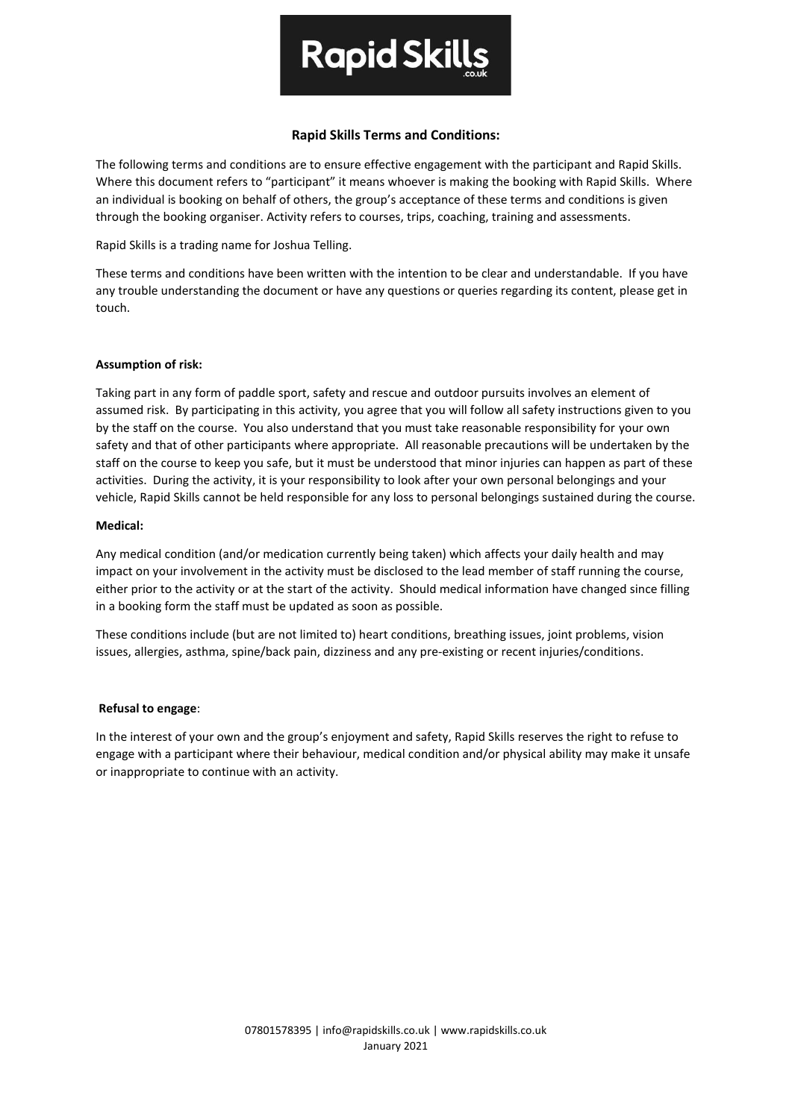

# **Rapid Skills Terms and Conditions:**

The following terms and conditions are to ensure effective engagement with the participant and Rapid Skills. Where this document refers to "participant" it means whoever is making the booking with Rapid Skills. Where an individual is booking on behalf of others, the group's acceptance of these terms and conditions is given through the booking organiser. Activity refers to courses, trips, coaching, training and assessments.

Rapid Skills is a trading name for Joshua Telling.

These terms and conditions have been written with the intention to be clear and understandable. If you have any trouble understanding the document or have any questions or queries regarding its content, please get in touch.

## **Assumption of risk:**

Taking part in any form of paddle sport, safety and rescue and outdoor pursuits involves an element of assumed risk. By participating in this activity, you agree that you will follow all safety instructions given to you by the staff on the course. You also understand that you must take reasonable responsibility for your own safety and that of other participants where appropriate. All reasonable precautions will be undertaken by the staff on the course to keep you safe, but it must be understood that minor injuries can happen as part of these activities. During the activity, it is your responsibility to look after your own personal belongings and your vehicle, Rapid Skills cannot be held responsible for any loss to personal belongings sustained during the course.

## **Medical:**

Any medical condition (and/or medication currently being taken) which affects your daily health and may impact on your involvement in the activity must be disclosed to the lead member of staff running the course, either prior to the activity or at the start of the activity. Should medical information have changed since filling in a booking form the staff must be updated as soon as possible.

These conditions include (but are not limited to) heart conditions, breathing issues, joint problems, vision issues, allergies, asthma, spine/back pain, dizziness and any pre-existing or recent injuries/conditions.

#### **Refusal to engage**:

In the interest of your own and the group's enjoyment and safety, Rapid Skills reserves the right to refuse to engage with a participant where their behaviour, medical condition and/or physical ability may make it unsafe or inappropriate to continue with an activity.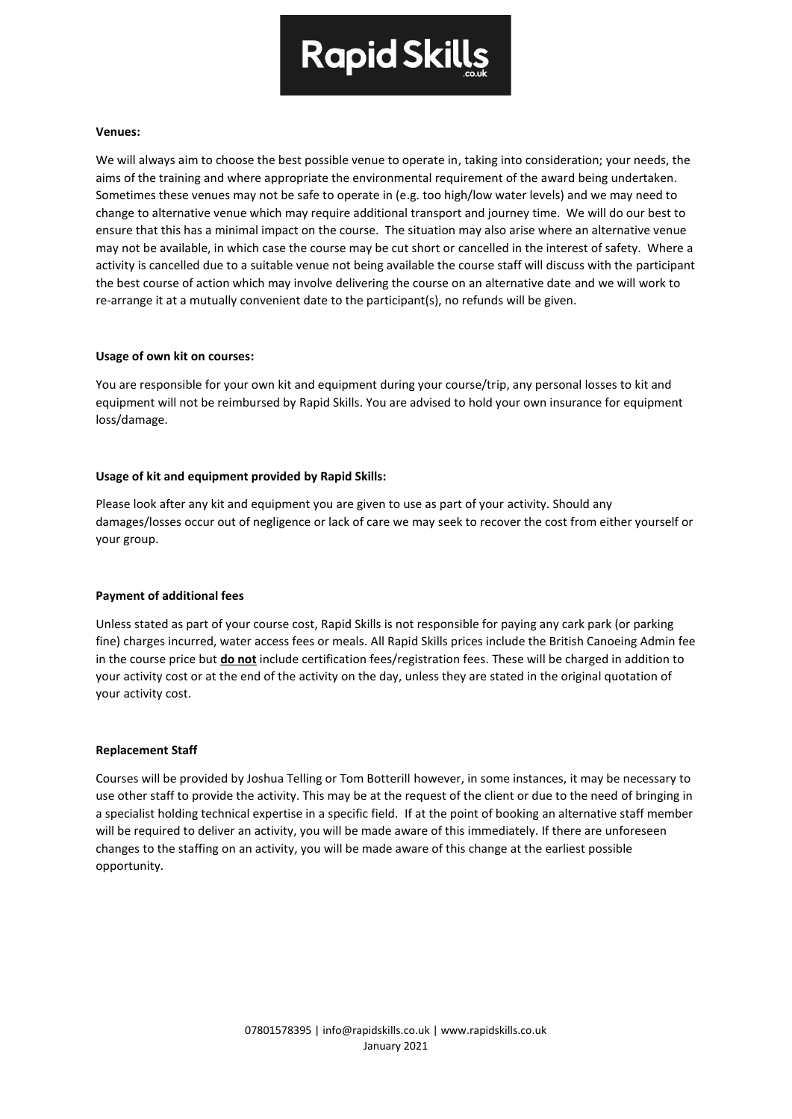

## **Venues:**

We will always aim to choose the best possible venue to operate in, taking into consideration; your needs, the aims of the training and where appropriate the environmental requirement of the award being undertaken. Sometimes these venues may not be safe to operate in (e.g. too high/low water levels) and we may need to change to alternative venue which may require additional transport and journey time. We will do our best to ensure that this has a minimal impact on the course. The situation may also arise where an alternative venue may not be available, in which case the course may be cut short or cancelled in the interest of safety. Where a activity is cancelled due to a suitable venue not being available the course staff will discuss with the participant the best course of action which may involve delivering the course on an alternative date and we will work to re-arrange it at a mutually convenient date to the participant(s), no refunds will be given.

## **Usage of own kit on courses:**

You are responsible for your own kit and equipment during your course/trip, any personal losses to kit and equipment will not be reimbursed by Rapid Skills. You are advised to hold your own insurance for equipment loss/damage.

## **Usage of kit and equipment provided by Rapid Skills:**

Please look after any kit and equipment you are given to use as part of your activity. Should any damages/losses occur out of negligence or lack of care we may seek to recover the cost from either yourself or your group.

#### **Payment of additional fees**

Unless stated as part of your course cost, Rapid Skills is not responsible for paying any cark park (or parking fine) charges incurred, water access fees or meals. All Rapid Skills prices include the British Canoeing Admin fee in the course price but **do not** include certification fees/registration fees. These will be charged in addition to your activity cost or at the end of the activity on the day, unless they are stated in the original quotation of your activity cost.

#### **Replacement Staff**

Courses will be provided by Joshua Telling or Tom Botterill however, in some instances, it may be necessary to use other staff to provide the activity. This may be at the request of the client or due to the need of bringing in a specialist holding technical expertise in a specific field. If at the point of booking an alternative staff member will be required to deliver an activity, you will be made aware of this immediately. If there are unforeseen changes to the staffing on an activity, you will be made aware of this change at the earliest possible opportunity.